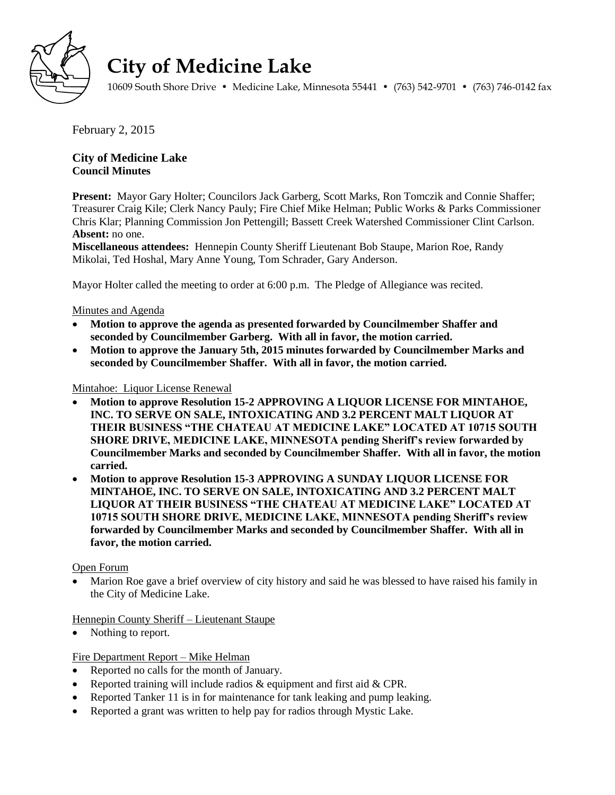

# **City of Medicine Lake**

10609 South Shore Drive • Medicine Lake, Minnesota 55441 • (763) 542-9701 • (763) 746-0142 fax

February 2, 2015

# **City of Medicine Lake Council Minutes**

**Present:** Mayor Gary Holter; Councilors Jack Garberg, Scott Marks, Ron Tomczik and Connie Shaffer; Treasurer Craig Kile; Clerk Nancy Pauly; Fire Chief Mike Helman; Public Works & Parks Commissioner Chris Klar; Planning Commission Jon Pettengill; Bassett Creek Watershed Commissioner Clint Carlson. **Absent:** no one.

**Miscellaneous attendees:** Hennepin County Sheriff Lieutenant Bob Staupe, Marion Roe, Randy Mikolai, Ted Hoshal, Mary Anne Young, Tom Schrader, Gary Anderson.

Mayor Holter called the meeting to order at 6:00 p.m. The Pledge of Allegiance was recited.

## Minutes and Agenda

- **Motion to approve the agenda as presented forwarded by Councilmember Shaffer and seconded by Councilmember Garberg. With all in favor, the motion carried.**
- **Motion to approve the January 5th, 2015 minutes forwarded by Councilmember Marks and seconded by Councilmember Shaffer. With all in favor, the motion carried.**

Mintahoe: Liquor License Renewal

- **Motion to approve Resolution 15-2 APPROVING A LIQUOR LICENSE FOR MINTAHOE, INC. TO SERVE ON SALE, INTOXICATING AND 3.2 PERCENT MALT LIQUOR AT THEIR BUSINESS "THE CHATEAU AT MEDICINE LAKE" LOCATED AT 10715 SOUTH SHORE DRIVE, MEDICINE LAKE, MINNESOTA pending Sheriff's review forwarded by Councilmember Marks and seconded by Councilmember Shaffer. With all in favor, the motion carried.**
- **Motion to approve Resolution 15-3 APPROVING A SUNDAY LIQUOR LICENSE FOR MINTAHOE, INC. TO SERVE ON SALE, INTOXICATING AND 3.2 PERCENT MALT LIQUOR AT THEIR BUSINESS "THE CHATEAU AT MEDICINE LAKE" LOCATED AT 10715 SOUTH SHORE DRIVE, MEDICINE LAKE, MINNESOTA pending Sheriff's review forwarded by Councilmember Marks and seconded by Councilmember Shaffer. With all in favor, the motion carried.**

#### Open Forum

 Marion Roe gave a brief overview of city history and said he was blessed to have raised his family in the City of Medicine Lake.

#### Hennepin County Sheriff – Lieutenant Staupe

Nothing to report.

# Fire Department Report – Mike Helman

- Reported no calls for the month of January.
- Reported training will include radios & equipment and first aid & CPR.
- Reported Tanker 11 is in for maintenance for tank leaking and pump leaking.
- Reported a grant was written to help pay for radios through Mystic Lake.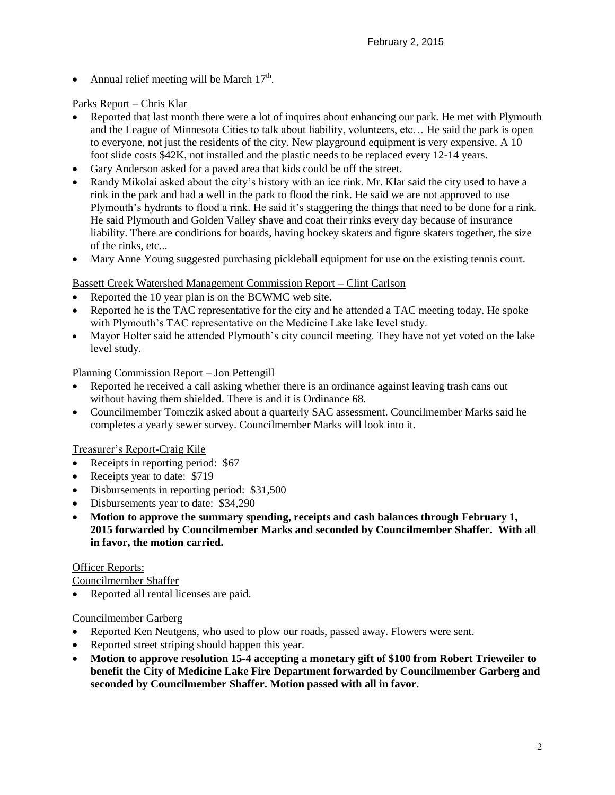• Annual relief meeting will be March  $17<sup>th</sup>$ .

# Parks Report – Chris Klar

- Reported that last month there were a lot of inquires about enhancing our park. He met with Plymouth and the League of Minnesota Cities to talk about liability, volunteers, etc… He said the park is open to everyone, not just the residents of the city. New playground equipment is very expensive. A 10 foot slide costs \$42K, not installed and the plastic needs to be replaced every 12-14 years.
- Gary Anderson asked for a paved area that kids could be off the street.
- Randy Mikolai asked about the city's history with an ice rink. Mr. Klar said the city used to have a rink in the park and had a well in the park to flood the rink. He said we are not approved to use Plymouth's hydrants to flood a rink. He said it's staggering the things that need to be done for a rink. He said Plymouth and Golden Valley shave and coat their rinks every day because of insurance liability. There are conditions for boards, having hockey skaters and figure skaters together, the size of the rinks, etc...
- Mary Anne Young suggested purchasing pickleball equipment for use on the existing tennis court.

# Bassett Creek Watershed Management Commission Report – Clint Carlson

- Reported the 10 year plan is on the BCWMC web site.
- Reported he is the TAC representative for the city and he attended a TAC meeting today. He spoke with Plymouth's TAC representative on the Medicine Lake lake level study.
- Mayor Holter said he attended Plymouth's city council meeting. They have not yet voted on the lake level study.

Planning Commission Report – Jon Pettengill

- Reported he received a call asking whether there is an ordinance against leaving trash cans out without having them shielded. There is and it is Ordinance 68.
- Councilmember Tomczik asked about a quarterly SAC assessment. Councilmember Marks said he completes a yearly sewer survey. Councilmember Marks will look into it.

Treasurer's Report-Craig Kile

- Receipts in reporting period: \$67
- Receipts year to date: \$719
- Disbursements in reporting period: \$31,500
- Disbursements year to date: \$34,290
- **Motion to approve the summary spending, receipts and cash balances through February 1, 2015 forwarded by Councilmember Marks and seconded by Councilmember Shaffer. With all in favor, the motion carried.**

# Officer Reports:

Councilmember Shaffer

Reported all rental licenses are paid.

# Councilmember Garberg

- Reported Ken Neutgens, who used to plow our roads, passed away. Flowers were sent.
- Reported street striping should happen this year.
- **Motion to approve resolution 15-4 accepting a monetary gift of \$100 from Robert Trieweiler to benefit the City of Medicine Lake Fire Department forwarded by Councilmember Garberg and seconded by Councilmember Shaffer. Motion passed with all in favor.**